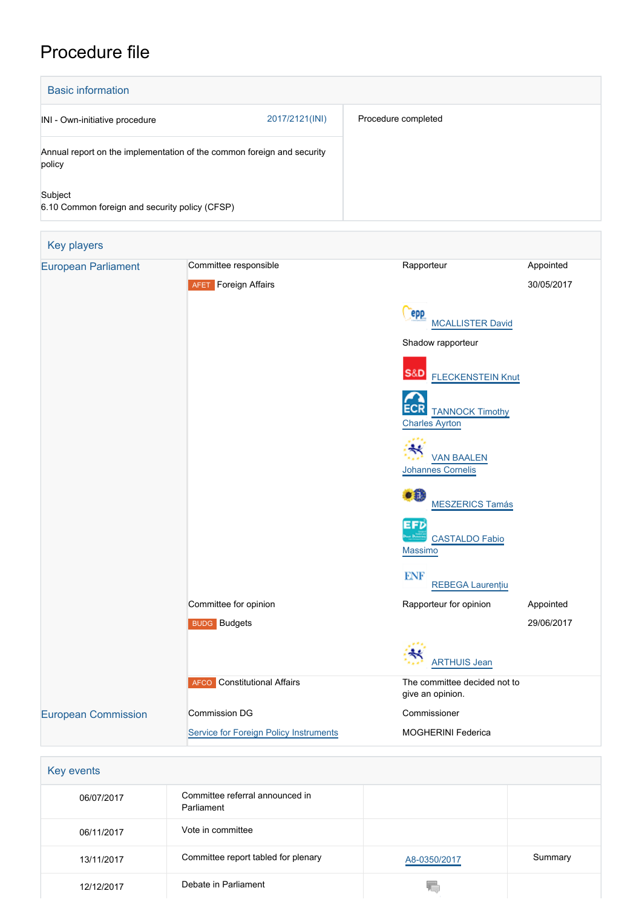## Procedure file

| <b>Basic information</b>                                                         |                |                     |
|----------------------------------------------------------------------------------|----------------|---------------------|
| INI - Own-initiative procedure                                                   | 2017/2121(INI) | Procedure completed |
| Annual report on the implementation of the common foreign and security<br>policy |                |                     |
| Subject<br>6.10 Common foreign and security policy (CFSP)                        |                |                     |

| <b>Key players</b>         |                                        |                                                        |            |
|----------------------------|----------------------------------------|--------------------------------------------------------|------------|
| <b>European Parliament</b> | Committee responsible                  | Rapporteur                                             | Appointed  |
|                            | <b>AFET</b> Foreign Affairs            |                                                        | 30/05/2017 |
|                            |                                        | <b>PPP</b><br><b>MCALLISTER David</b>                  |            |
|                            |                                        | Shadow rapporteur                                      |            |
|                            |                                        | S&D<br><b>FLECKENSTEIN Knut</b>                        |            |
|                            |                                        | ECR<br><b>TANNOCK Timothy</b><br><b>Charles Ayrton</b> |            |
|                            |                                        | $\ast$<br><b>VAN BAALEN</b><br>Johannes Cornelis       |            |
|                            |                                        | æ<br><b>MESZERICS Tamás</b>                            |            |
|                            |                                        | EFD<br><b>CASTALDO Fabio</b><br>Massimo                |            |
|                            |                                        | <b>ENF</b><br><b>REBEGA Laurențiu</b>                  |            |
|                            | Committee for opinion                  | Rapporteur for opinion                                 | Appointed  |
|                            | <b>BUDG</b> Budgets                    |                                                        | 29/06/2017 |
|                            |                                        | <b>ARTHUIS Jean</b>                                    |            |
|                            | <b>AFCO</b> Constitutional Affairs     | The committee decided not to<br>give an opinion.       |            |
| <b>European Commission</b> | Commission DG                          | Commissioner                                           |            |
|                            | Service for Foreign Policy Instruments | <b>MOGHERINI Federica</b>                              |            |

| Key events |                                               |              |         |
|------------|-----------------------------------------------|--------------|---------|
| 06/07/2017 | Committee referral announced in<br>Parliament |              |         |
| 06/11/2017 | Vote in committee                             |              |         |
| 13/11/2017 | Committee report tabled for plenary           | A8-0350/2017 | Summary |
| 12/12/2017 | Debate in Parliament                          |              |         |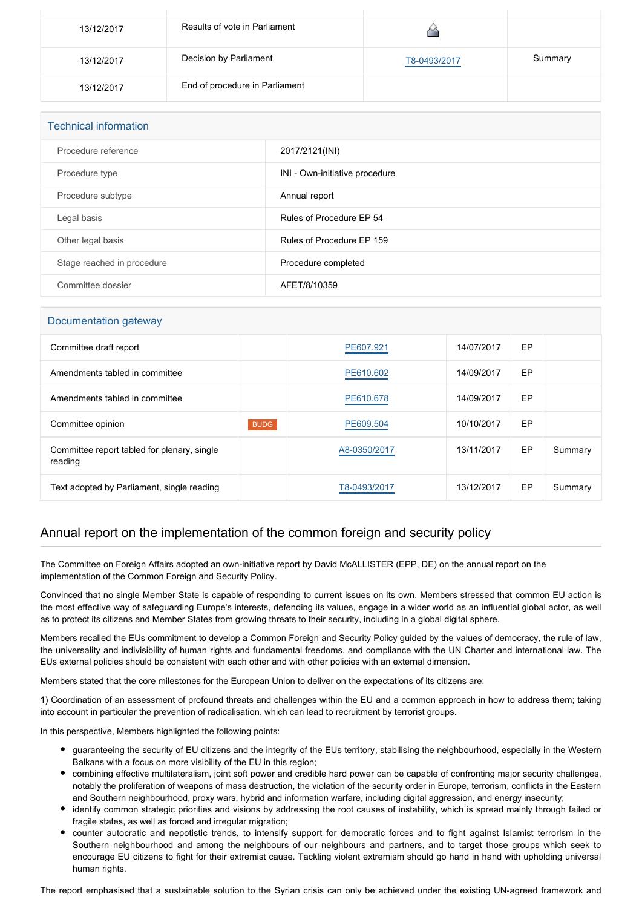| 13/12/2017 | Results of vote in Parliament  |              |         |
|------------|--------------------------------|--------------|---------|
| 13/12/2017 | Decision by Parliament         | T8-0493/2017 | Summary |
| 13/12/2017 | End of procedure in Parliament |              |         |

| <b>Technical information</b> |                                |  |
|------------------------------|--------------------------------|--|
| Procedure reference          | 2017/2121(INI)                 |  |
| Procedure type               | INI - Own-initiative procedure |  |
| Procedure subtype            | Annual report                  |  |
| Legal basis                  | Rules of Procedure EP 54       |  |
| Other legal basis            | Rules of Procedure EP 159      |  |
| Stage reached in procedure   | Procedure completed            |  |
| Committee dossier            | AFET/8/10359                   |  |

## Documentation gateway

| Committee draft report                                 |             | PE607.921    | 14/07/2017 | EP |         |
|--------------------------------------------------------|-------------|--------------|------------|----|---------|
| Amendments tabled in committee                         |             | PE610.602    | 14/09/2017 | EP |         |
| Amendments tabled in committee                         |             | PE610.678    | 14/09/2017 | EP |         |
| Committee opinion                                      | <b>BUDG</b> | PE609.504    | 10/10/2017 | EP |         |
| Committee report tabled for plenary, single<br>reading |             | A8-0350/2017 | 13/11/2017 | EP | Summary |
| Text adopted by Parliament, single reading             |             | T8-0493/2017 | 13/12/2017 | EP | Summary |

## Annual report on the implementation of the common foreign and security policy

The Committee on Foreign Affairs adopted an own-initiative report by David McALLISTER (EPP, DE) on the annual report on the implementation of the Common Foreign and Security Policy.

Convinced that no single Member State is capable of responding to current issues on its own, Members stressed that common EU action is the most effective way of safeguarding Europe's interests, defending its values, engage in a wider world as an influential global actor, as well as to protect its citizens and Member States from growing threats to their security, including in a global digital sphere.

Members recalled the EUs commitment to develop a Common Foreign and Security Policy guided by the values of democracy, the rule of law, the universality and indivisibility of human rights and fundamental freedoms, and compliance with the UN Charter and international law. The EUs external policies should be consistent with each other and with other policies with an external dimension.

Members stated that the core milestones for the European Union to deliver on the expectations of its citizens are:

1) Coordination of an assessment of profound threats and challenges within the EU and a common approach in how to address them; taking into account in particular the prevention of radicalisation, which can lead to recruitment by terrorist groups.

In this perspective, Members highlighted the following points:

- guaranteeing the security of EU citizens and the integrity of the EUs territory, stabilising the neighbourhood, especially in the Western Balkans with a focus on more visibility of the EU in this region;
- combining effective multilateralism, joint soft power and credible hard power can be capable of confronting major security challenges, notably the proliferation of weapons of mass destruction, the violation of the security order in Europe, terrorism, conflicts in the Eastern and Southern neighbourhood, proxy wars, hybrid and information warfare, including digital aggression, and energy insecurity;
- identify common strategic priorities and visions by addressing the root causes of instability, which is spread mainly through failed or fragile states, as well as forced and irregular migration;
- counter autocratic and nepotistic trends, to intensify support for democratic forces and to fight against Islamist terrorism in the Southern neighbourhood and among the neighbours of our neighbours and partners, and to target those groups which seek to encourage EU citizens to fight for their extremist cause. Tackling violent extremism should go hand in hand with upholding universal human rights.

The report emphasised that a sustainable solution to the Syrian crisis can only be achieved under the existing UN-agreed framework and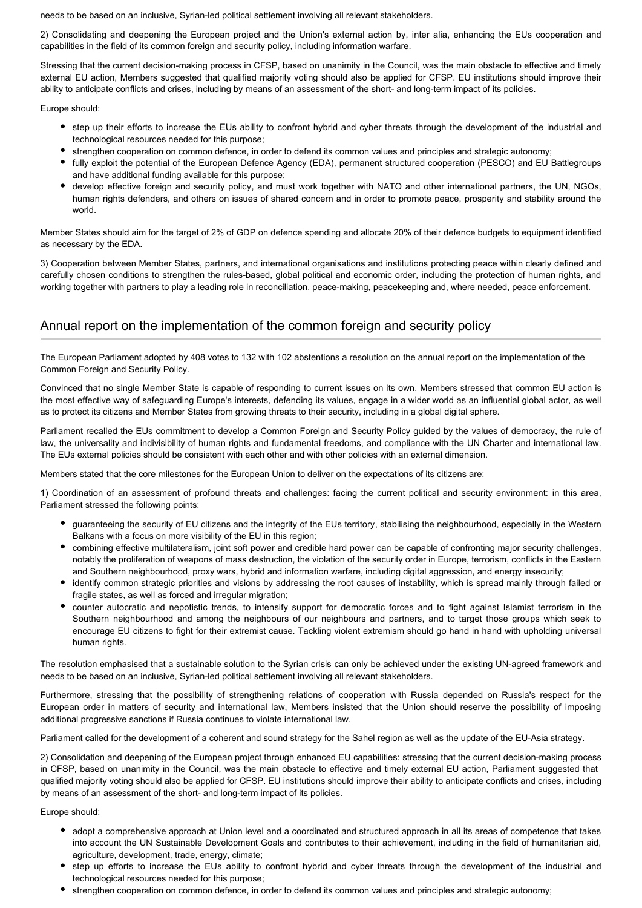needs to be based on an inclusive, Syrian-led political settlement involving all relevant stakeholders.

2) Consolidating and deepening the European project and the Union's external action by, inter alia, enhancing the EUs cooperation and capabilities in the field of its common foreign and security policy, including information warfare.

Stressing that the current decision-making process in CFSP, based on unanimity in the Council, was the main obstacle to effective and timely external EU action, Members suggested that qualified majority voting should also be applied for CFSP. EU institutions should improve their ability to anticipate conflicts and crises, including by means of an assessment of the short- and long-term impact of its policies.

Europe should:

- step up their efforts to increase the EUs ability to confront hybrid and cyber threats through the development of the industrial and technological resources needed for this purpose;
- strengthen cooperation on common defence, in order to defend its common values and principles and strategic autonomy;
- fully exploit the potential of the European Defence Agency (EDA), permanent structured cooperation (PESCO) and EU Battlegroups and have additional funding available for this purpose;
- develop effective foreign and security policy, and must work together with NATO and other international partners, the UN, NGOs, human rights defenders, and others on issues of shared concern and in order to promote peace, prosperity and stability around the world.

Member States should aim for the target of 2% of GDP on defence spending and allocate 20% of their defence budgets to equipment identified as necessary by the EDA.

3) Cooperation between Member States, partners, and international organisations and institutions protecting peace within clearly defined and carefully chosen conditions to strengthen the rules-based, global political and economic order, including the protection of human rights, and working together with partners to play a leading role in reconciliation, peace-making, peacekeeping and, where needed, peace enforcement.

## Annual report on the implementation of the common foreign and security policy

The European Parliament adopted by 408 votes to 132 with 102 abstentions a resolution on the annual report on the implementation of the Common Foreign and Security Policy.

Convinced that no single Member State is capable of responding to current issues on its own, Members stressed that common EU action is the most effective way of safeguarding Europe's interests, defending its values, engage in a wider world as an influential global actor, as well as to protect its citizens and Member States from growing threats to their security, including in a global digital sphere.

Parliament recalled the EUs commitment to develop a Common Foreign and Security Policy guided by the values of democracy, the rule of law, the universality and indivisibility of human rights and fundamental freedoms, and compliance with the UN Charter and international law. The EUs external policies should be consistent with each other and with other policies with an external dimension.

Members stated that the core milestones for the European Union to deliver on the expectations of its citizens are:

1) Coordination of an assessment of profound threats and challenges: facing the current political and security environment: in this area, Parliament stressed the following points:

- guaranteeing the security of EU citizens and the integrity of the EUs territory, stabilising the neighbourhood, especially in the Western Balkans with a focus on more visibility of the EU in this region;
- combining effective multilateralism, joint soft power and credible hard power can be capable of confronting major security challenges, notably the proliferation of weapons of mass destruction, the violation of the security order in Europe, terrorism, conflicts in the Eastern and Southern neighbourhood, proxy wars, hybrid and information warfare, including digital aggression, and energy insecurity;
- identify common strategic priorities and visions by addressing the root causes of instability, which is spread mainly through failed or fragile states, as well as forced and irregular migration;
- counter autocratic and nepotistic trends, to intensify support for democratic forces and to fight against Islamist terrorism in the Southern neighbourhood and among the neighbours of our neighbours and partners, and to target those groups which seek to encourage EU citizens to fight for their extremist cause. Tackling violent extremism should go hand in hand with upholding universal human rights.

The resolution emphasised that a sustainable solution to the Syrian crisis can only be achieved under the existing UN-agreed framework and needs to be based on an inclusive, Syrian-led political settlement involving all relevant stakeholders.

Furthermore, stressing that the possibility of strengthening relations of cooperation with Russia depended on Russia's respect for the European order in matters of security and international law, Members insisted that the Union should reserve the possibility of imposing additional progressive sanctions if Russia continues to violate international law.

Parliament called for the development of a coherent and sound strategy for the Sahel region as well as the update of the EU-Asia strategy.

2) Consolidation and deepening of the European project through enhanced EU capabilities: stressing that the current decision-making process in CFSP, based on unanimity in the Council, was the main obstacle to effective and timely external EU action, Parliament suggested that qualified majority voting should also be applied for CFSP. EU institutions should improve their ability to anticipate conflicts and crises, including by means of an assessment of the short- and long-term impact of its policies.

Europe should:

- adopt a comprehensive approach at Union level and a coordinated and structured approach in all its areas of competence that takes into account the UN Sustainable Development Goals and contributes to their achievement, including in the field of humanitarian aid, agriculture, development, trade, energy, climate;
- step up efforts to increase the EUs ability to confront hybrid and cyber threats through the development of the industrial and technological resources needed for this purpose;
- strengthen cooperation on common defence, in order to defend its common values and principles and strategic autonomy;